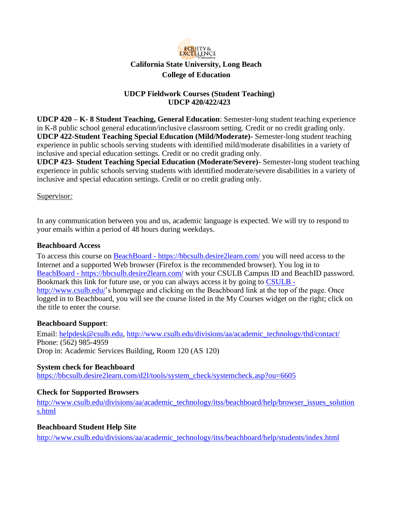

## **UDCP Fieldwork Courses (Student Teaching) UDCP 420/422/423**

**UDCP 420 – K- 8 Student Teaching, General Education**: Semester-long student teaching experience in K-8 public school general education/inclusive classroom setting. Credit or no credit grading only. **UDCP 422-Student Teaching Special Education (Mild/Moderate)-** Semester-long student teaching experience in public schools serving students with identified mild/moderate disabilities in a variety of inclusive and special education settings. Credit or no credit grading only.

**UDCP 423- Student Teaching Special Education (Moderate/Severe)-** Semester-long student teaching experience in public schools serving students with identified moderate/severe disabilities in a variety of inclusive and special education settings. Credit or no credit grading only.

#### Supervisor*:*

In any communication between you and us, academic language is expected. We will try to respond to your emails within a period of 48 hours during weekdays.

#### **Beachboard Access**

To access this course on BeachBoard - https://bbcsulb.desire2learn.com/ you will need access to the Internet and a supported Web browser (Firefox is the recommended browser). You log in to BeachBoard - https://bbcsulb.desire2learn.com/ with your CSULB Campus ID and BeachID password. Bookmark this link for future use, or you can always access it by going to CSULB http://www.csulb.edu/'s homepage and clicking on the Beachboard link at the top of the page. Once logged in to Beachboard, you will see the course listed in the My Courses widget on the right; click on the title to enter the course.

#### **Beachboard Support**:

Email: helpdesk@csulb.edu, http://www.csulb.edu/divisions/aa/academic\_technology/thd/contact/ Phone: (562) 985-4959 Drop in: Academic Services Building, Room 120 (AS 120)

#### **System check for Beachboard**

https://bbcsulb.desire2learn.com/d2l/tools/system\_check/systemcheck.asp?ou=6605

#### **Check for Supported Browsers**

http://www.csulb.edu/divisions/aa/academic\_technology/itss/beachboard/help/browser\_issues\_solution s.html

#### **Beachboard Student Help Site**

http://www.csulb.edu/divisions/aa/academic\_technology/itss/beachboard/help/students/index.html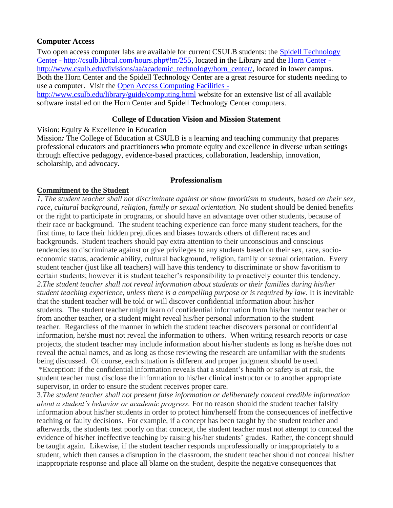#### **Computer Access**

Two open access computer labs are available for current CSULB students: the Spidell Technology Center - http://csulb.libcal.com/hours.php#!m/255, located in the Library and the Horn Center http://www.csulb.edu/divisions/aa/academic\_technology/horn\_center/, located in lower campus. Both the Horn Center and the Spidell Technology Center are a great resource for students needing to use a computer. Visit the Open Access Computing Facilities -

http://www.csulb.edu/library/guide/computing.html website for an extensive list of all available software installed on the Horn Center and Spidell Technology Center computers.

#### **College of Education Vision and Mission Statement**

Vision: Equity & Excellence in Education

Mission*:* The College of Education at CSULB is a learning and teaching community that prepares professional educators and practitioners who promote equity and excellence in diverse urban settings through effective pedagogy, evidence-based practices, collaboration, leadership, innovation, scholarship, and advocacy.

#### **Professionalism**

#### **Commitment to the Student**

*1. The student teacher shall not discriminate against or show favoritism to students, based on their sex, race, cultural background, religion, family or sexual orientation.* No student should be denied benefits or the right to participate in programs, or should have an advantage over other students, because of their race or background. The student teaching experience can force many student teachers, for the first time, to face their hidden prejudices and biases towards others of different races and backgrounds. Student teachers should pay extra attention to their unconscious and conscious tendencies to discriminate against or give privileges to any students based on their sex, race, socioeconomic status, academic ability, cultural background, religion, family or sexual orientation. Every student teacher (just like all teachers) will have this tendency to discriminate or show favoritism to certain students; however it is student teacher's responsibility to proactively counter this tendency. *2.The student teacher shall not reveal information about students or their families during his/her student teaching experience, unless there is a compelling purpose or is required by law.* It is inevitable that the student teacher will be told or will discover confidential information about his/her students. The student teacher might learn of confidential information from his/her mentor teacher or from another teacher, or a student might reveal his/her personal information to the student teacher. Regardless of the manner in which the student teacher discovers personal or confidential information, he/she must not reveal the information to others. When writing research reports or case projects, the student teacher may include information about his/her students as long as he/she does not reveal the actual names, and as long as those reviewing the research are unfamiliar with the students being discussed. Of course, each situation is different and proper judgment should be used.

\*Exception: If the confidential information reveals that a student's health or safety is at risk, the student teacher must disclose the information to his/her clinical instructor or to another appropriate supervisor, in order to ensure the student receives proper care.

3.*The student teacher shall not present false information or deliberately conceal credible information about a student's behavior or academic progress.* For no reason should the student teacher falsify information about his/her students in order to protect him/herself from the consequences of ineffective teaching or faulty decisions. For example, if a concept has been taught by the student teacher and afterwards, the students test poorly on that concept, the student teacher must not attempt to conceal the evidence of his/her ineffective teaching by raising his/her students' grades. Rather, the concept should be taught again. Likewise, if the student teacher responds unprofessionally or inappropriately to a student, which then causes a disruption in the classroom, the student teacher should not conceal his/her inappropriate response and place all blame on the student, despite the negative consequences that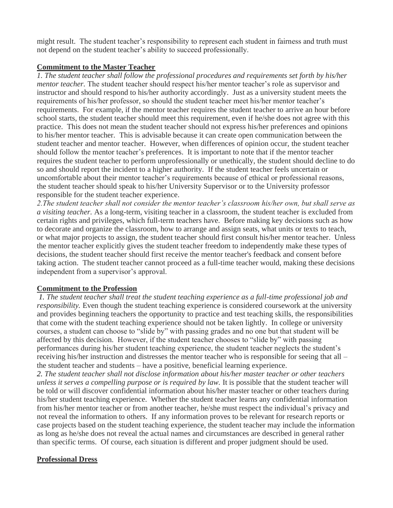might result. The student teacher's responsibility to represent each student in fairness and truth must not depend on the student teacher's ability to succeed professionally.

# **Commitment to the Master Teacher**

*1. The student teacher shall follow the professional procedures and requirements set forth by his/her mentor teacher.* The student teacher should respect his/her mentor teacher's role as supervisor and instructor and should respond to his/her authority accordingly. Just as a university student meets the requirements of his/her professor, so should the student teacher meet his/her mentor teacher's requirements. For example, if the mentor teacher requires the student teacher to arrive an hour before school starts, the student teacher should meet this requirement, even if he/she does not agree with this practice. This does not mean the student teacher should not express his/her preferences and opinions to his/her mentor teacher. This is advisable because it can create open communication between the student teacher and mentor teacher. However, when differences of opinion occur, the student teacher should follow the mentor teacher's preferences. It is important to note that if the mentor teacher requires the student teacher to perform unprofessionally or unethically, the student should decline to do so and should report the incident to a higher authority. If the student teacher feels uncertain or uncomfortable about their mentor teacher's requirements because of ethical or professional reasons, the student teacher should speak to his/her University Supervisor or to the University professor responsible for the student teacher experience.

*2.The student teacher shall not consider the mentor teacher's classroom his/her own, but shall serve as a visiting teacher.* As a long-term, visiting teacher in a classroom, the student teacher is excluded from certain rights and privileges, which full-term teachers have. Before making key decisions such as how to decorate and organize the classroom, how to arrange and assign seats, what units or texts to teach, or what major projects to assign, the student teacher should first consult his/her mentor teacher. Unless the mentor teacher explicitly gives the student teacher freedom to independently make these types of decisions, the student teacher should first receive the mentor teacher's feedback and consent before taking action. The student teacher cannot proceed as a full-time teacher would, making these decisions independent from a supervisor's approval.

# **Commitment to the Profession**

*1. The student teacher shall treat the student teaching experience as a full-time professional job and responsibility.* Even though the student teaching experience is considered coursework at the university and provides beginning teachers the opportunity to practice and test teaching skills, the responsibilities that come with the student teaching experience should not be taken lightly. In college or university courses, a student can choose to "slide by" with passing grades and no one but that student will be affected by this decision. However, if the student teacher chooses to "slide by" with passing performances during his/her student teaching experience, the student teacher neglects the student's receiving his/her instruction and distresses the mentor teacher who is responsible for seeing that all – the student teacher and students – have a positive, beneficial learning experience.

*2. The student teacher shall not disclose information about his/her master teacher or other teachers unless it serves a compelling purpose or is required by law.* It is possible that the student teacher will be told or will discover confidential information about his/her master teacher or other teachers during his/her student teaching experience. Whether the student teacher learns any confidential information from his/her mentor teacher or from another teacher, he/she must respect the individual's privacy and not reveal the information to others. If any information proves to be relevant for research reports or case projects based on the student teaching experience, the student teacher may include the information as long as he/she does not reveal the actual names and circumstances are described in general rather than specific terms. Of course, each situation is different and proper judgment should be used.

# **Professional Dress**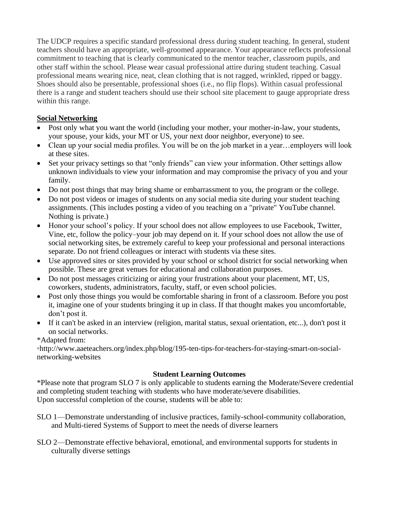The UDCP requires a specific standard professional dress during student teaching. In general, student teachers should have an appropriate, well-groomed appearance. Your appearance reflects professional commitment to teaching that is clearly communicated to the mentor teacher, classroom pupils, and other staff within the school. Please wear casual professional attire during student teaching. Casual professional means wearing nice, neat, clean clothing that is not ragged, wrinkled, ripped or baggy. Shoes should also be presentable, professional shoes (i.e., no flip flops). Within casual professional there is a range and student teachers should use their school site placement to gauge appropriate dress within this range.

# **Social Networking**

- Post only what you want the world (including your mother, your mother-in-law, your students, your spouse, your kids, your MT or US, your next door neighbor, everyone) to see.
- Clean up your social media profiles. You will be on the job market in a year...employers will look at these sites.
- Set your privacy settings so that "only friends" can view your information. Other settings allow unknown individuals to view your information and may compromise the privacy of you and your family.
- Do not post things that may bring shame or embarrassment to you, the program or the college.
- Do not post videos or images of students on any social media site during your student teaching assignments. (This includes posting a video of you teaching on a "private" YouTube channel. Nothing is private.)
- Honor your school's policy. If your school does not allow employees to use Facebook, Twitter, Vine, etc, follow the policy–your job may depend on it. If your school does not allow the use of social networking sites, be extremely careful to keep your professional and personal interactions separate. Do not friend colleagues or interact with students via these sites.
- Use approved sites or sites provided by your school or school district for social networking when possible. These are great venues for educational and collaboration purposes.
- Do not post messages criticizing or airing your frustrations about your placement, MT, US, coworkers, students, administrators, faculty, staff, or even school policies.
- Post only those things you would be comfortable sharing in front of a classroom. Before you post it, imagine one of your students bringing it up in class. If that thought makes you uncomfortable, don't post it.
- If it can't be asked in an interview (religion, marital status, sexual orientation, etc...), don't post it on social networks.

\*Adapted from:

◦http://www.aaeteachers.org/index.php/blog/195-ten-tips-for-teachers-for-staying-smart-on-socialnetworking-websites

# **Student Learning Outcomes**

\*Please note that program SLO 7 is only applicable to students earning the Moderate/Severe credential and completing student teaching with students who have moderate/severe disabilities. Upon successful completion of the course, students will be able to:

- SLO 1—Demonstrate understanding of inclusive practices, family-school-community collaboration, and Multi-tiered Systems of Support to meet the needs of diverse learners
- SLO 2—Demonstrate effective behavioral, emotional, and environmental supports for students in culturally diverse settings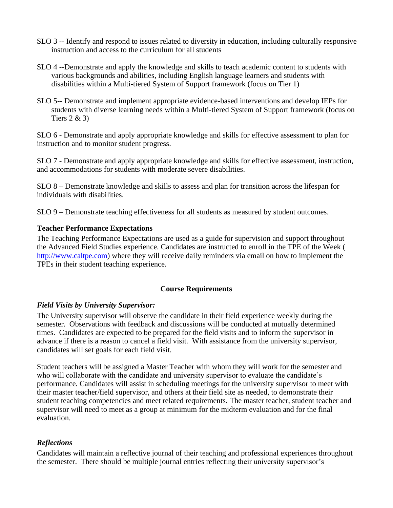- SLO 3 -- Identify and respond to issues related to diversity in education, including culturally responsive instruction and access to the curriculum for all students
- SLO 4 --Demonstrate and apply the knowledge and skills to teach academic content to students with various backgrounds and abilities, including English language learners and students with disabilities within a Multi-tiered System of Support framework (focus on Tier 1)
- SLO 5-- Demonstrate and implement appropriate evidence-based interventions and develop IEPs for students with diverse learning needs within a Multi-tiered System of Support framework (focus on Tiers  $2 \& 3$ )

SLO 6 - Demonstrate and apply appropriate knowledge and skills for effective assessment to plan for instruction and to monitor student progress.

SLO 7 - Demonstrate and apply appropriate knowledge and skills for effective assessment, instruction, and accommodations for students with moderate severe disabilities.

SLO 8 – Demonstrate knowledge and skills to assess and plan for transition across the lifespan for individuals with disabilities.

SLO 9 – Demonstrate teaching effectiveness for all students as measured by student outcomes.

#### **Teacher Performance Expectations**

The Teaching Performance Expectations are used as a guide for supervision and support throughout the Advanced Field Studies experience. Candidates are instructed to enroll in the TPE of the Week ( http://www.caltpe.com) where they will receive daily reminders via email on how to implement the TPEs in their student teaching experience.

# **Course Requirements**

# *Field Visits by University Supervisor:*

The University supervisor will observe the candidate in their field experience weekly during the semester. Observations with feedback and discussions will be conducted at mutually determined times. Candidates are expected to be prepared for the field visits and to inform the supervisor in advance if there is a reason to cancel a field visit. With assistance from the university supervisor, candidates will set goals for each field visit.

Student teachers will be assigned a Master Teacher with whom they will work for the semester and who will collaborate with the candidate and university supervisor to evaluate the candidate's performance. Candidates will assist in scheduling meetings for the university supervisor to meet with their master teacher/field supervisor, and others at their field site as needed, to demonstrate their student teaching competencies and meet related requirements. The master teacher, student teacher and supervisor will need to meet as a group at minimum for the midterm evaluation and for the final evaluation.

# *Reflections*

Candidates will maintain a reflective journal of their teaching and professional experiences throughout the semester. There should be multiple journal entries reflecting their university supervisor's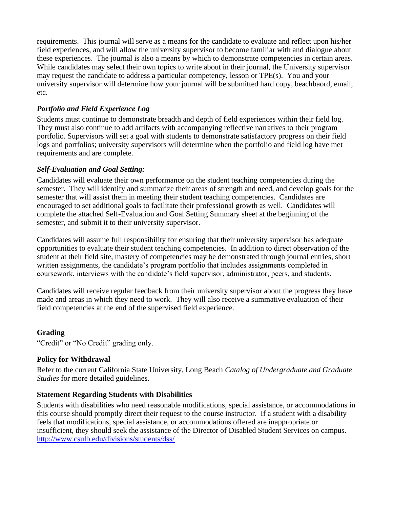requirements. This journal will serve as a means for the candidate to evaluate and reflect upon his/her field experiences, and will allow the university supervisor to become familiar with and dialogue about these experiences. The journal is also a means by which to demonstrate competencies in certain areas. While candidates may select their own topics to write about in their journal, the University supervisor may request the candidate to address a particular competency, lesson or TPE(s). You and your university supervisor will determine how your journal will be submitted hard copy, beachbaord, email, etc.

# *Portfolio and Field Experience Log*

Students must continue to demonstrate breadth and depth of field experiences within their field log. They must also continue to add artifacts with accompanying reflective narratives to their program portfolio. Supervisors will set a goal with students to demonstrate satisfactory progress on their field logs and portfolios; university supervisors will determine when the portfolio and field log have met requirements and are complete.

# *Self-Evaluation and Goal Setting:*

Candidates will evaluate their own performance on the student teaching competencies during the semester. They will identify and summarize their areas of strength and need, and develop goals for the semester that will assist them in meeting their student teaching competencies. Candidates are encouraged to set additional goals to facilitate their professional growth as well. Candidates will complete the attached Self-Evaluation and Goal Setting Summary sheet at the beginning of the semester, and submit it to their university supervisor.

Candidates will assume full responsibility for ensuring that their university supervisor has adequate opportunities to evaluate their student teaching competencies. In addition to direct observation of the student at their field site, mastery of competencies may be demonstrated through journal entries, short written assignments, the candidate's program portfolio that includes assignments completed in coursework, interviews with the candidate's field supervisor, administrator, peers, and students.

Candidates will receive regular feedback from their university supervisor about the progress they have made and areas in which they need to work. They will also receive a summative evaluation of their field competencies at the end of the supervised field experience.

# **Grading**

"Credit" or "No Credit" grading only.

# **Policy for Withdrawal**

Refer to the current California State University, Long Beach *Catalog of Undergraduate and Graduate Studies* for more detailed guidelines.

# **Statement Regarding Students with Disabilities**

Students with disabilities who need reasonable modifications, special assistance, or accommodations in this course should promptly direct their request to the course instructor. If a student with a disability feels that modifications, special assistance, or accommodations offered are inappropriate or insufficient, they should seek the assistance of the Director of Disabled Student Services on campus. http://www.csulb.edu/divisions/students/dss/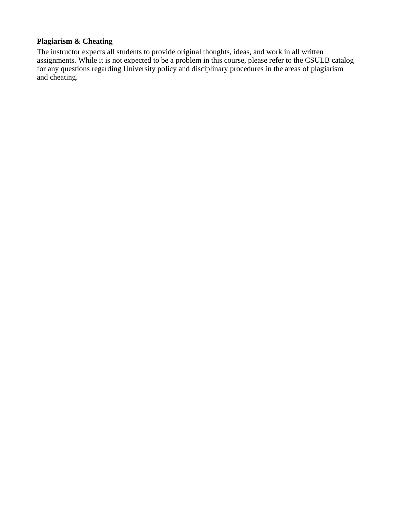# **Plagiarism & Cheating**

The instructor expects all students to provide original thoughts, ideas, and work in all written assignments. While it is not expected to be a problem in this course, please refer to the CSULB catalog for any questions regarding University policy and disciplinary procedures in the areas of plagiarism and cheating.